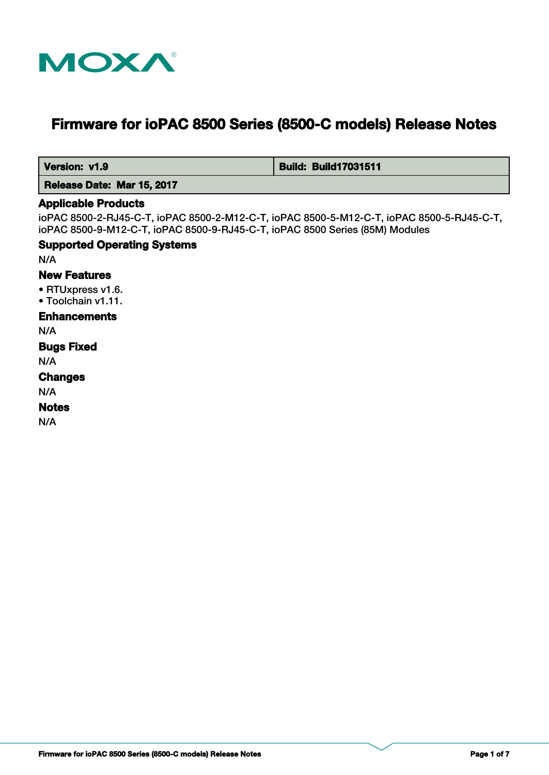

# **Firmware for ioPAC 8500 Series (8500-C models) Release Notes**

 **Version: v1.9 Build: Build: Build17031511** 

 **Release Date: Mar 15, 2017**

#### **Applicable Products**

ioPAC 8500-2-RJ45-C-T, ioPAC 8500-2-M12-C-T, ioPAC 8500-5-M12-C-T, ioPAC 8500-5-RJ45-C-T, ioPAC 8500-9-M12-C-T, ioPAC 8500-9-RJ45-C-T, ioPAC 8500 Series (85M) Modules

#### **Supported Operating Systems**

N/A

#### **New Features**

• RTUxpress v1.6.

• Toolchain v1.11.

# **Enhancements**

N/A

# **Bugs Fixed**

N/A

# **Changes**

N/A

#### **Notes**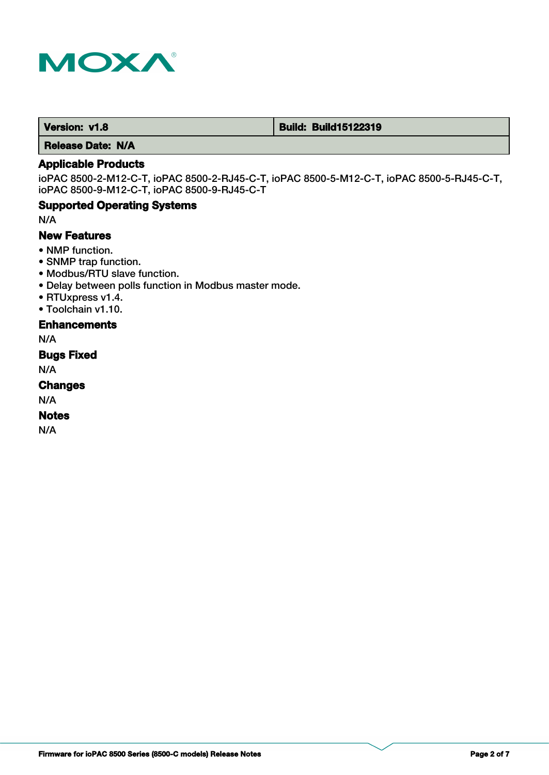

 **Version: v1.8 Build: Build: Build15122319** 

 **Release Date: N/A**

# **Applicable Products**

ioPAC 8500-2-M12-C-T, ioPAC 8500-2-RJ45-C-T, ioPAC 8500-5-M12-C-T, ioPAC 8500-5-RJ45-C-T, ioPAC 8500-9-M12-C-T, ioPAC 8500-9-RJ45-C-T

# **Supported Operating Systems**

N/A

# **New Features**

- NMP function.
- SNMP trap function.
- Modbus/RTU slave function.
- Delay between polls function in Modbus master mode.
- RTUxpress v1.4.
- Toolchain v1.10.

# **Enhancements**

N/A

# **Bugs Fixed**

N/A

### **Changes**

N/A

#### **Notes**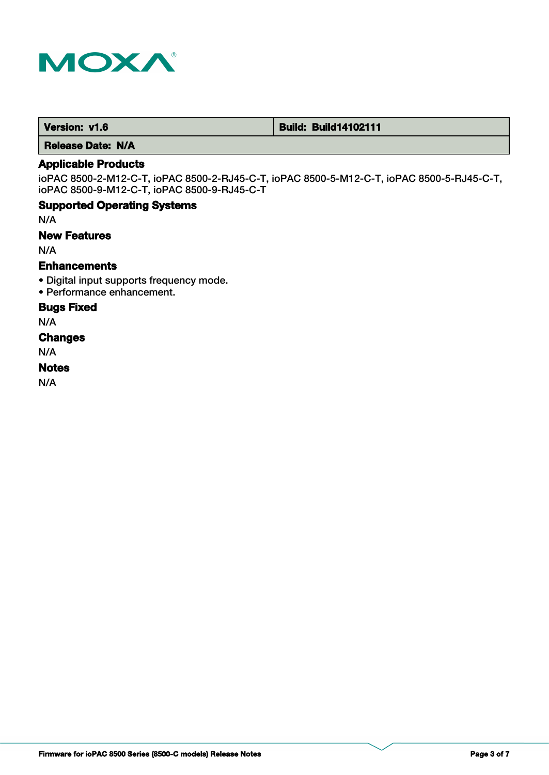

 **Version: v1.6 Build: Build: Build14102111** 

 **Release Date: N/A**

# **Applicable Products**

ioPAC 8500-2-M12-C-T, ioPAC 8500-2-RJ45-C-T, ioPAC 8500-5-M12-C-T, ioPAC 8500-5-RJ45-C-T, ioPAC 8500-9-M12-C-T, ioPAC 8500-9-RJ45-C-T

# **Supported Operating Systems**

N/A

# **New Features**

N/A

# **Enhancements**

- Digital input supports frequency mode.
- Performance enhancement.

# **Bugs Fixed**

N/A

# **Changes**

N/A

# **Notes**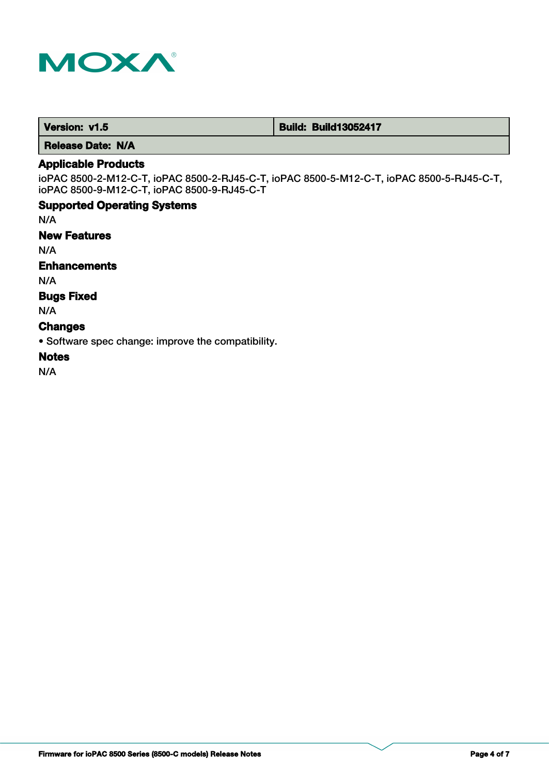

**Version: v1.5 Build: Build: Build13052417** 

 **Release Date: N/A**

# **Applicable Products**

ioPAC 8500-2-M12-C-T, ioPAC 8500-2-RJ45-C-T, ioPAC 8500-5-M12-C-T, ioPAC 8500-5-RJ45-C-T, ioPAC 8500-9-M12-C-T, ioPAC 8500-9-RJ45-C-T

# **Supported Operating Systems**

N/A

#### **New Features**

N/A

### **Enhancements**

N/A

### **Bugs Fixed**

N/A

#### **Changes**

• Software spec change: improve the compatibility.

# **Notes**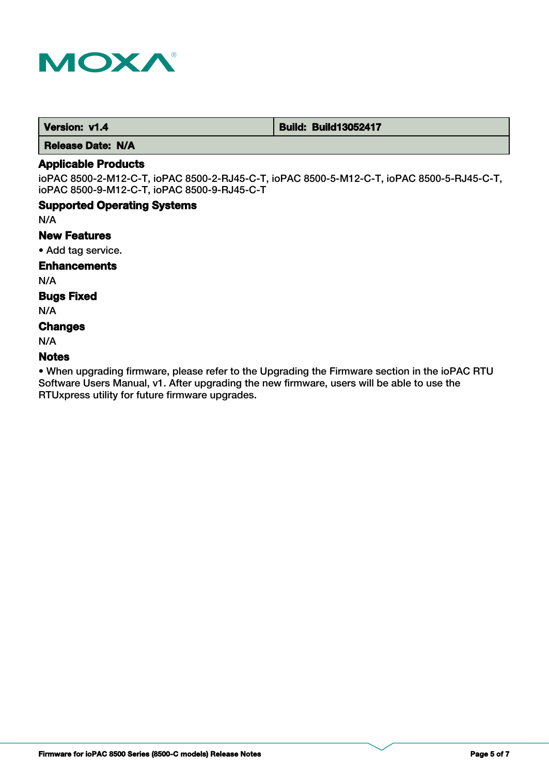

**Version: v1.4 Build: Build: Build13052417** 

 **Release Date: N/A**

# **Applicable Products**

ioPAC 8500-2-M12-C-T, ioPAC 8500-2-RJ45-C-T, ioPAC 8500-5-M12-C-T, ioPAC 8500-5-RJ45-C-T, ioPAC 8500-9-M12-C-T, ioPAC 8500-9-RJ45-C-T

# **Supported Operating Systems**

N/A

# **New Features**

• Add tag service.

# **Enhancements**

N/A

# **Bugs Fixed**

N/A

# **Changes**

N/A

# **Notes**

• When upgrading firmware, please refer to the Upgrading the Firmware section in the ioPAC RTU Software Users Manual, v1. After upgrading the new firmware, users will be able to use the RTUxpress utility for future firmware upgrades.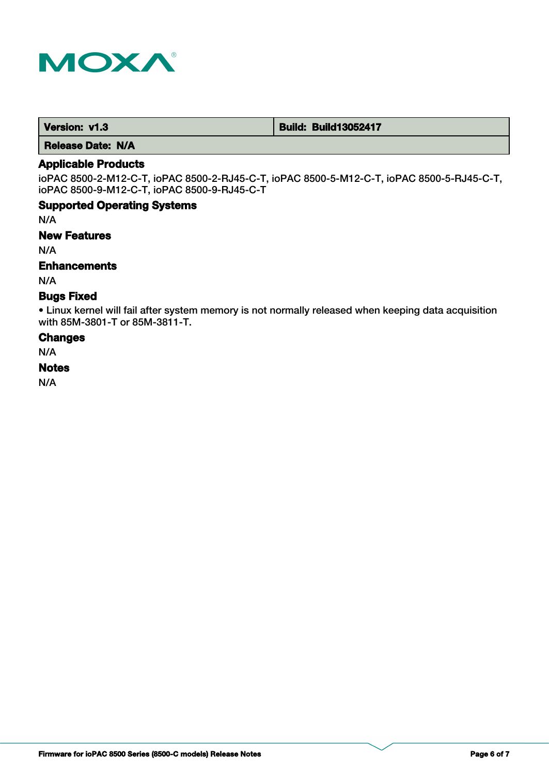

**Version: v1.3 Build: Build: Build13052417** 

 **Release Date: N/A**

# **Applicable Products**

ioPAC 8500-2-M12-C-T, ioPAC 8500-2-RJ45-C-T, ioPAC 8500-5-M12-C-T, ioPAC 8500-5-RJ45-C-T, ioPAC 8500-9-M12-C-T, ioPAC 8500-9-RJ45-C-T

# **Supported Operating Systems**

N/A

#### **New Features**

N/A

# **Enhancements**

N/A

# **Bugs Fixed**

• Linux kernel will fail after system memory is not normally released when keeping data acquisition with 85M-3801-T or 85M-3811-T.

#### **Changes**

N/A

#### **Notes**